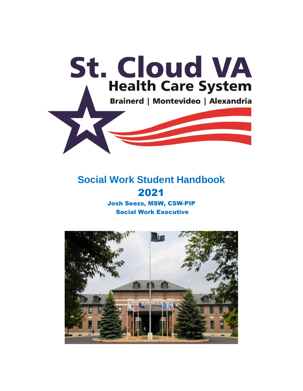

# **Social Work Student Handbook** 2021

Josh Seezs, MSW, CSW-PIP Social Work Executive

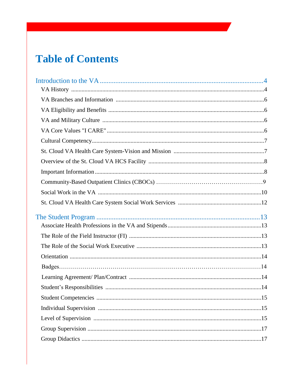# **Table of Contents**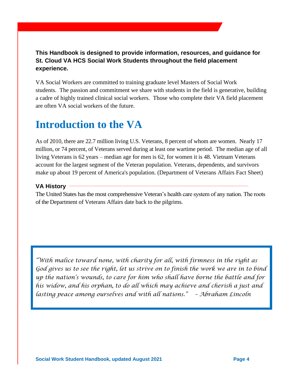# **This Handbook is designed to provide information, resources, and guidance for St. Cloud VA HCS Social Work Students throughout the field placement experience.**

VA Social Workers are committed to training graduate level Masters of Social Work students. The passion and commitment we share with students in the field is generative, building a cadre of highly trained clinical social workers. Those who complete their VA field placement are often VA social workers of the future.

# **Introduction to the VA**

As of 2010, there are 22.7 million living U.S. Veterans, 8 percent of whom are women. Nearly 17 million, or 74 percent, of Veterans served during at least one wartime period. The median age of all living Veterans is 62 years – median age for men is 62, for women it is 48. Vietnam Veterans account for the largest segment of the Veteran population. Veterans, dependents, and survivors make up about 19 percent of America's population. (Department of Veterans Affairs Fact Sheet)

# **VA History \_\_\_\_\_\_\_\_\_\_\_\_\_\_\_\_\_\_\_\_\_\_\_\_\_\_\_\_\_\_\_\_\_\_\_\_\_\_\_\_\_\_\_\_\_\_\_\_\_\_\_\_\_\_\_\_\_\_\_\_\_\_\_\_\_\_\_\_\_\_\_\_\_\_\_\_\_\_\_\_\_\_\_\_\_\_\_\_\_\_\_\_\_\_\_\_\_\_\_\_\_\_\_\_**

The United States has the most comprehensive Veteran's health care system of any nation. The roots of the Department of Veterans Affairs date back to the pilgrims.

*"With malice toward none, with charity for all, with firmness in the right as God gives us to see the right, let us strive on to finish the work we are in to bind up the nation's wounds, to care for him who shall have borne the battle and for his widow, and his orphan, to do all which may achieve and cherish a just and lasting peace among ourselves and with all nations." – Abraham Lincoln*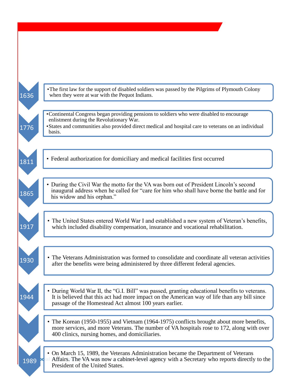| 1636   | • The first law for the support of disabled soldiers was passed by the Pilgrims of Plymouth Colony<br>when they were at war with the Pequot Indians.                                                                                                    |
|--------|---------------------------------------------------------------------------------------------------------------------------------------------------------------------------------------------------------------------------------------------------------|
| 1776   | •Continental Congress began providing pensions to soldiers who were disabled to encourage<br>enlistment during the Revolutionary War.<br>• States and communities also provided direct medical and hospital care to veterans on an individual<br>basis. |
| 1811   | • Federal authorization for domiciliary and medical facilities first occurred                                                                                                                                                                           |
| 1865   | • During the Civil War the motto for the VA was born out of President Lincoln's second<br>inaugural address when he called for "care for him who shall have borne the battle and for<br>his widow and his orphan."                                      |
| 1917   | • The United States entered World War I and established a new system of Veteran's benefits,<br>which included disability compensation, insurance and vocational rehabilitation.                                                                         |
| 1930   | • The Veterans Administration was formed to consolidate and coordinate all veteran activities<br>after the benefits were being administered by three different federal agencies.                                                                        |
| 1944   | • During World War II, the "G.I. Bill" was passed, granting educational benefits to veterans.<br>It is believed that this act had more impact on the American way of life than any bill since<br>passage of the Homestead Act almost 100 years earlier. |
|        | • The Korean (1950-1955) and Vietnam (1964-1975) conflicts brought about more benefits,<br>more services, and more Veterans. The number of VA hospitals rose to 172, along with over<br>400 clinics, nursing homes, and domiciliaries.                  |
| 1989 P | • On March 15, 1989, the Veterans Administration became the Department of Veterans<br>Affairs. The VA was now a cabinet-level agency with a Secretary who reports directly to the<br>President of the United States.                                    |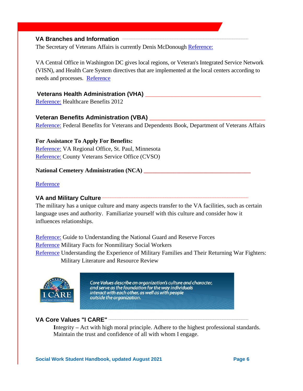## VA Branches and Information **\_\_\_\_\_\_\_**

The Secretary of Veterans Affairs is currently Denis McDonough [Reference:](https://www.va.gov/opa/bios/secva.asp)

VA Central Office in Washington DC gives local regions, or Veteran's Integrated Service Network (VISN), and Health Care System directives that are implemented at the local centers according to needs and processes. [Reference](http://vaww.va.gov/directory/guide/region_flsh.asp?map=0&ID=23)

## **Veterans Health Administration (VHA) \_\_\_\_\_\_\_\_\_\_\_\_\_\_\_\_\_\_\_\_\_\_\_\_\_\_\_\_\_\_\_\_\_\_\_**

Reference: [Healthcare Benefits 2012](http://www.va.gov/healthbenefits/resources/epublications.asp)

### **Veteran Benefits Administration (VBA)** \_\_\_\_\_\_\_\_\_\_\_\_\_\_\_\_\_\_\_\_\_\_\_\_\_\_\_\_\_\_\_\_\_\_\_\_\_\_\_

[Reference:](http://www1.va.gov/opa/publications/benefits_book.asp) Federal Benefits for Veterans and Dependents Book, Department of Veterans Affairs

**For Assistance To Apply For Benefits:** [Reference:](http://www2.va.gov/directory/guide/facility.asp?ID=365) VA Regional Office, St. Paul, Minnesota [Reference:](http://mnveteranservice.org/documents/cvso.html) County Veterans Service Office (CVSO)

#### **National Cemetery Administration (NCA) \_\_\_\_\_\_\_\_\_\_\_\_\_\_\_\_\_\_\_\_\_\_\_\_\_\_\_\_\_\_\_\_\_\_\_\_**

### [Reference](http://www.cem.va.gov/)

## VA and Military Culture

The military has a unique culture and many aspects transfer to the VA facilities, such as certain language uses and authority. Familiarize yourself with this culture and consider how it influences relationships.

[Reference:](http://vaww.visn21.portal.va.gov/sanfrancisco/socialwork/Orientation%20%20Social%20Work/Reference%20Guides%20(Social%20Work%20and%20related)/NG%20and%20Reserves.docx) Guide to Understanding the National Guard and Reserve Forces [Reference](http://www.in.gov/fssa/dmha/files/1._Military_Facts_for_Non.Military_Social_Workers.pdf) Military Facts for Nonmilitary Social Workers [Reference](http://www.familyhomelessness.org/media/72.pdf) Understanding the Experience of Military Families and Their Returning War Fighters: Military Literature and Resource Review



Core Values describe an organization's culture and character, and serve as the foundation for the way individuals interact with each other, as well as with people outside the organization.

## **VA Core Values "I CARE" \_\_\_\_\_\_\_\_\_\_\_\_\_\_\_\_\_\_\_\_\_\_\_\_\_\_\_\_\_\_\_\_\_\_\_\_\_\_\_\_\_\_\_\_\_\_\_\_\_\_\_\_\_\_\_\_\_\_\_\_\_\_\_\_\_\_\_\_\_\_\_\_\_\_\_\_\_\_\_\_\_**

**I**ntegrity **–** Act with high moral principle. Adhere to the highest professional standards. Maintain the trust and confidence of all with whom I engage.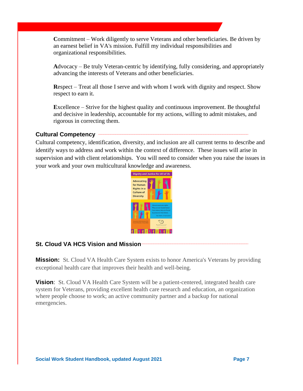**C**ommitment – Work diligently to serve Veterans and other beneficiaries. Be driven by an earnest belief in VA's mission. Fulfill my individual responsibilities and organizational responsibilities.

**A**dvocacy – Be truly Veteran-centric by identifying, fully considering, and appropriately advancing the interests of Veterans and other beneficiaries.

**R**espect – Treat all those I serve and with whom I work with dignity and respect. Show respect to earn it.

**E**xcellence – Strive for the highest quality and continuous improvement. Be thoughtful and decisive in leadership, accountable for my actions, willing to admit mistakes, and rigorous in correcting them.

# **Cultural Competency \_\_\_\_\_\_\_\_\_\_\_\_\_\_\_\_\_\_\_\_\_\_\_\_\_\_\_\_\_\_\_\_\_\_\_\_\_\_\_\_\_\_\_\_\_\_\_\_\_\_\_\_\_\_\_\_\_\_\_\_\_\_\_\_\_\_\_\_\_\_\_\_\_\_\_\_\_\_\_\_\_\_\_\_\_\_\_**

Cultural competency, identification, diversity, and inclusion are all current terms to describe and identify ways to address and work within the context of difference. These issues will arise in supervision and with client relationships. You will need to consider when you raise the issues in your work and your own multicultural knowledge and awareness.



# **St. Cloud VA HCS Vision and Mission-**

**Mission:** St. Cloud VA Health Care System exists to honor America's Veterans by providing exceptional health care that improves their health and well-being.

**Vision**: St. Cloud VA Health Care System will be a patient-centered, integrated health care system for Veterans, providing excellent health care research and education, an organization where people choose to work; an active community partner and a backup for national emergencies.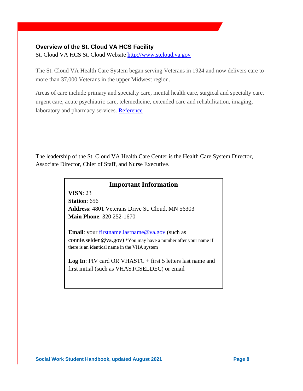## **Overview of the St. Cloud VA HCS Facility**

St. Cloud VA HCS St. Cloud Website [http://www.stcloud.va.gov](http://www.stcloud.va.gov/)

The St. Cloud VA Health Care System began serving Veterans in 1924 and now delivers care to more than 37,000 Veterans in the upper Midwest region.

Areas of care include primary and specialty care, mental health care, surgical and specialty care, urgent care, acute psychiatric care, telemedicine, extended care and rehabilitation, imaging**,**  laboratory and pharmacy services. [Reference](http://www.stcloud.va.gov/services/socialwork.asp)

The leadership of the St. Cloud VA Health Care Center is the Health Care System Director, Associate Director, Chief of Staff, and Nurse Executive.

# **Important Information**

**VISN**: 23 **Station**: 656 **Address**: 4801 Veterans Drive St. Cloud, MN 56303 **Main Phone**: 320 252-1670

**Email**: your [firstname.lastname@va.gov](mailto:firstname.lastname@va.gov) (such as connie.selden@va.gov) \*You may have a number after your name if there is an identical name in the VHA system

Log In: PIV card OR VHASTC + first 5 letters last name and first initial (such as VHASTCSELDEC) or email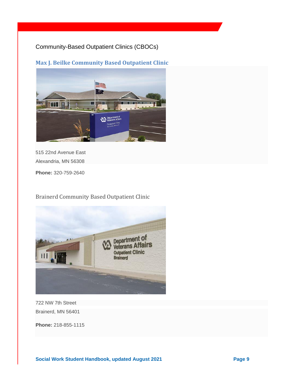# Community-Based Outpatient Clinics (CBOCs)

# **Max J. Beilke Community Based Outpatient Clinic**



515 22nd Avenue East Alexandria, MN 56308

**Phone:** 320-759-2640

Brainerd Community Based Outpatient Clinic



722 NW 7th Street Brainerd, MN 56401

**Phone:** 218-855-1115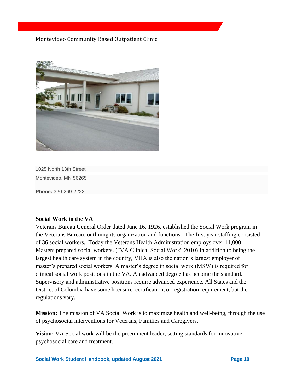## Montevideo Community Based Outpatient Clinic



1025 North 13th Street Montevideo, MN 56265

**Phone:** 320-269-2222

## Social Work in the VA –

Veterans Bureau General Order dated June 16, 1926, established the Social Work program in the Veterans Bureau, outlining its organization and functions. The first year staffing consisted of 36 social workers. Today the Veterans Health Administration employs over 11,000 Masters prepared social workers. ("VA Clinical Social Work" 2010) In addition to being the largest health care system in the country, VHA is also the nation's largest employer of master's prepared social workers. A master's degree in social work (MSW) is required for clinical social work positions in the VA. An advanced degree has become the standard. Supervisory and administrative positions require advanced experience. All States and the District of Columbia have some licensure, certification, or registration requirement, but the regulations vary.

**Mission:** The mission of VA Social Work is to maximize health and well-being, through the use of psychosocial interventions for Veterans, Families and Caregivers.

**Vision:** VA Social work will be the preeminent leader, setting standards for innovative psychosocial care and treatment.

**Social Work Student Handbook, updated August 2021 Page 10**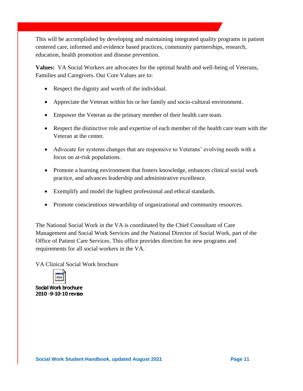This will be accomplished by developing and maintaining integrated quality programs in patient centered care, informed and evidence based practices, community partnerships, research, education, health promotion and disease prevention.

**Values:** VA Social Workers are advocates for the optimal health and well-being of Veterans, Families and Caregivers. Our Core Values are to:

- Respect the dignity and worth of the individual.
- Appreciate the Veteran within his or her family and socio-cultural environment.
- Empower the Veteran as the primary member of their health care team.
- Respect the distinctive role and expertise of each member of the health care team with the Veteran at the center.
- Advocate for systems changes that are responsive to Veterans' evolving needs with a focus on at-risk populations.
- Promote a learning environment that fosters knowledge, enhances clinical social work practice, and advances leadership and administrative excellence.
- Exemplify and model the highest professional and ethical standards.
- Promote conscientious stewardship of organizational and community resources.

The National Social Work in the VA is coordinated by the Chief Consultant of Care Management and Social Work Services and the National Director of Social Work, part of the Office of Patient Care Services. This office provides direction for new programs and requirements for all social workers in the VA.

VA Clinical Social Work brochure



Social Work brochure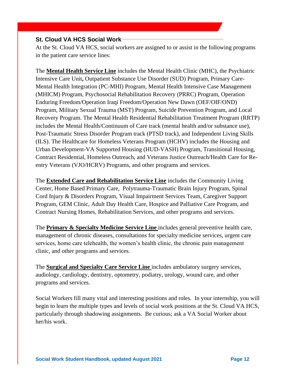## St. Cloud VA HCS Social Work<sup>---------</sup>

At the St. Cloud VA HCS, social workers are assigned to or assist in the following programs in the patient care service lines:

The **Mental Health Service Line** includes the Mental Health Clinic (MHC), the Psychiatric Intensive Care Unit**,** Outpatient Substance Use Disorder (SUD) Program, Primary Care-Mental Health Integration (PC-MHI) Program, Mental Health Intensive Case Management (MHICM) Program, Psychosocial Rehabilitation Recovery (PRRC) Program, Operation Enduring Freedom/Operation Iraqi Freedom/Operation New Dawn (OEF/OIF/OND) Program, Military Sexual Trauma (MST) Program, Suicide Prevention Program, and Local Recovery Program. The Mental Health Residential Rehabilitation Treatment Program (RRTP) includes the Mental Health/Continuum of Care track (mental health and/or substance use), Post-Traumatic Stress Disorder Program track (PTSD track), and Independent Living Skills (ILS). The Healthcare for Homeless Veterans Program (HCHV) includes the Housing and Urban Development-VA Supported Housing (HUD-VASH) Program, Transitional Housing, Contract Residential, Homeless Outreach, and Veterans Justice Outreach/Health Care for Reentry Veterans (VJO/HCRV) Programs, and other programs and services.

The **Extended Care and Rehabilitation Service Line** includes the Community Living Center, Home Based Primary Care, Polytrauma-Traumatic Brain Injury Program, Spinal Cord Injury & Disorders Program, Visual Impairment Services Team, Caregiver Support Program, GEM Clinic, Adult Day Health Care, Hospice and Palliative Care Program, and Contract Nursing Homes, Rehabilitation Services, and other programs and services.

The **Primary & Specialty Medicine Service Line** includes general preventive health care, management of chronic diseases, consultations for specialty medicine services, urgent care services, home care telehealth, the women's health clinic, the chronic pain management clinic, and other programs and services.

The **Surgical and Specialty Care Service Line** includes ambulatory surgery services, audiology, cardiology, dentistry, optometry, podiatry, urology, wound care, and other programs and services.

Social Workers fill many vital and interesting positions and roles. In your internship, you will begin to learn the multiple types and levels of social work positions at the St. Cloud VA HCS, particularly through shadowing assignments. Be curious; ask a VA Social Worker about her/his work.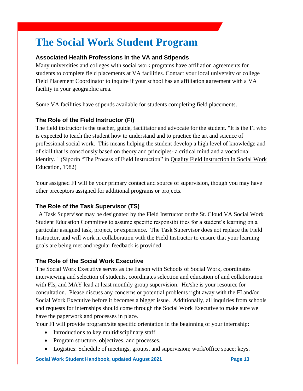# **The Social Work Student Program**

## **Associated Health Professions in the VA and Stipends \_\_\_\_\_\_\_\_\_\_\_\_\_\_\_\_\_\_\_\_\_\_\_\_\_\_\_\_\_\_\_\_\_**

Many universities and colleges with social work programs have affiliation agreements for students to complete field placements at VA facilities. Contact your local university or college Field Placement Coordinator to inquire if your school has an affiliation agreement with a VA facility in your geographic area.

Some VA facilities have stipends available for students completing field placements.

# **The Role of the Field Instructor (FI) \_\_\_\_\_\_\_\_\_\_\_\_\_\_\_\_\_\_\_\_\_\_\_\_\_\_\_\_\_\_\_\_\_\_\_\_\_\_\_\_\_\_\_\_\_\_\_\_\_\_\_\_\_\_\_\_\_\_\_\_\_\_\_\_\_**

The field instructor is the teacher, guide, facilitator and advocate for the student. "It is the FI who is expected to teach the student how to understand and to practice the art and science of professional social work. This means helping the student develop a high level of knowledge and of skill that is consciously based on theory and principles- a critical mind and a vocational identity." (Siporin "The Process of Field Instruction" in Quality Field Instruction in Social Work Education, 1982)

Your assigned FI will be your primary contact and source of supervision, though you may have other preceptors assigned for additional programs or projects.

# The Role of the Task Supervisor (TS)  $-$

 A Task Supervisor may be designated by the Field Instructor or the St. Cloud VA Social Work Student Education Committee to assume specific responsibilities for a student's learning on a particular assigned task, project, or experience. The Task Supervisor does not replace the Field Instructor, and will work in collaboration with the Field Instructor to ensure that your learning goals are being met and regular feedback is provided.

# The Role of the Social Work Executive -

The Social Work Executive serves as the liaison with Schools of Social Work, coordinates interviewing and selection of students, coordinates selection and education of and collaboration with FIs, and MAY lead at least monthly group supervision. He/she is your resource for consultation. Please discuss any concerns or potential problems right away with the FI and/or Social Work Executive before it becomes a bigger issue. Additionally, all inquiries from schools and requests for internships should come through the Social Work Executive to make sure we have the paperwork and processes in place.

Your FI will provide program/site specific orientation in the beginning of your internship:

- Introductions to key multidisciplinary staff
- Program structure, objectives, and processes.
- Logistics: Schedule of meetings, groups, and supervision; work/office space; keys.

**Social Work Student Handbook, updated August 2021 Page 13**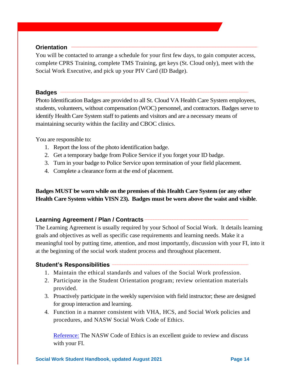## Orientation –

You will be contacted to arrange a schedule for your first few days, to gain computer access, complete CPRS Training, complete TMS Training, get keys (St. Cloud only), meet with the Social Work Executive, and pick up your PIV Card (ID Badge).

#### **Badges** ————

Photo Identification Badges are provided to all St. Cloud VA Health Care System employees, students, volunteers, without compensation (WOC) personnel, and contractors. Badges serve to identify Health Care System staff to patients and visitors and are a necessary means of maintaining security within the facility and CBOC clinics.

You are responsible to:

- 1. Report the loss of the photo identification badge.
- 2. Get a temporary badge from Police Service if you forget your ID badge.
- 3. Turn in your badge to Police Service upon termination of your field placement.
- 4. Complete a clearance form at the end of placement.

**Badges MUST be worn while on the premises of this Health Care System (or any other Health Care System within VISN 23). Badges must be worn above the waist and visible**.

## Learning Agreement / Plan / Contracts ——————

The Learning Agreement is usually required by your School of Social Work. It details learning goals and objectives as well as specific case requirements and learning needs. Make it a meaningful tool by putting time, attention, and most importantly, discussion with your FI, into it at the beginning of the social work student process and throughout placement.

# Student's Responsibilities **\_\_\_\_\_\_\_\_\_\_\_\_\_\_\_\_\_\_\_\_\_\_**

- 1. Maintain the ethical standards and values of the Social Work profession.
- 2. Participate in the Student Orientation program; review orientation materials provided.
- 3. Proactively participate in the weekly supervision with field instructor; these are designed for group interaction and learning.
- 4. Function in a manner consistent with VHA, HCS, and Social Work policies and procedures, and NASW Social Work Code of Ethics.

[Reference:](https://www.socialworkers.org/About/Ethics/Code-of-Ethics/Code-of-Ethics-English) The NASW Code of Ethics is an excellent guide to review and discuss with your FI.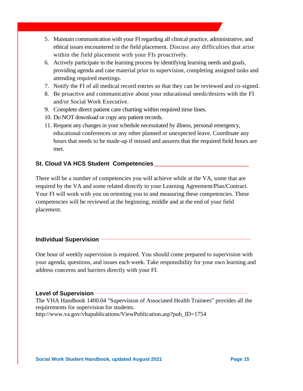- 5. Maintain communication with your FI regarding all clinical practice, administrative, and ethical issues encountered in the field placement. Discuss any difficulties that arise within the field placement with your FIs proactively.
- 6. Actively participate in the learning process by identifying learning needs and goals, providing agenda and case material prior to supervision, completing assigned tasks and attending required meetings.
- 7. Notify the FI of all medical record entries so that they can be reviewed and co-signed.
- 8. Be proactive and communicative about your educational needs/desires with the FI and/or Social Work Executive.
- 9. Complete direct patient care charting within required time lines.
- 10. Do NOT download or copy any patient records.
- 11. Request any changes in your schedule necessitated by illness, personal emergency, educational conferences or any other planned or unexpected leave. Coordinate any hours that needs to be made-up if missed and assures that the required field hours are met.

# **St. Cloud VA HCS Student Competencies\_\_\_\_\_\_\_\_\_\_\_\_\_\_\_\_\_\_\_\_\_\_\_\_\_\_\_\_\_\_\_\_**

There will be a number of competencies you will achieve while at the VA, some that are required by the VA and some related directly to your Learning Agreement/Plan/Contract. Your FI will work with you on orienting you to and measuring these competencies. These competencies will be reviewed at the beginning, middle and at the end of your field placement.

## **Individual Supervision**

One hour of weekly supervision is required. You should come prepared to supervision with your agenda, questions, and issues each week. Take responsibility for your own learning and address concerns and barriers directly with your FI.

## Level of Supervision -

The VHA Handbook 1400.04 "Supervision of Associated Health Trainees" provides all the requirements for supervision for students. http://www.va.gov/vhapublications/ViewPublication.asp?pub\_ID=1754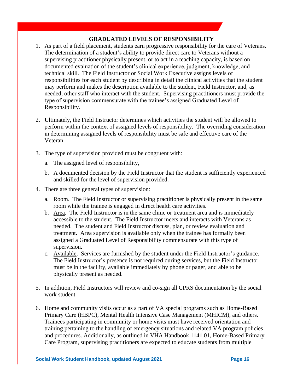## **GRADUATED LEVELS OF RESPONSIBILITY**

- 1. As part of a field placement, students earn progressive responsibility for the care of Veterans. The determination of a student's ability to provide direct care to Veterans without a supervising practitioner physically present, or to act in a teaching capacity, is based on documented evaluation of the student's clinical experience, judgment, knowledge, and technical skill. The Field Instructor or Social Work Executive assigns levels of responsibilities for each student by describing in detail the clinical activities that the student may perform and makes the description available to the student, Field Instructor, and, as needed, other staff who interact with the student. Supervising practitioners must provide the type of supervision commensurate with the trainee's assigned Graduated Level of Responsibility.
- 2. Ultimately, the Field Instructor determines which activities the student will be allowed to perform within the context of assigned levels of responsibility. The overriding consideration in determining assigned levels of responsibility must be safe and effective care of the Veteran.
- 3. The type of supervision provided must be congruent with:
	- a. The assigned level of responsibility,
	- b. A documented decision by the Field Instructor that the student is sufficiently experienced and skilled for the level of supervision provided.
- 4. There are three general types of supervision:
	- a. Room. The Field Instructor or supervising practitioner is physically present in the same room while the trainee is engaged in direct health care activities.
	- b. Area. The Field Instructor is in the same clinic or treatment area and is immediately accessible to the student. The Field Instructor meets and interacts with Veterans as needed. The student and Field Instructor discuss, plan, or review evaluation and treatment. Area supervision is available only when the trainee has formally been assigned a Graduated Level of Responsibility commensurate with this type of supervision.
	- c. Available. Services are furnished by the student under the Field Instructor's guidance. The Field Instructor's presence is not required during services, but the Field Instructor must be in the facility, available immediately by phone or pager, and able to be physically present as needed.
- 5. In addition, Field Instructors will review and co-sign all CPRS documentation by the social work student.
- 6. Home and community visits occur as a part of VA special programs such as Home-Based Primary Care (HBPC), Mental Health Intensive Case Management (MHICM), and others. Trainees participating in community or home visits must have received orientation and training pertaining to the handling of emergency situations and related VA program policies and procedures. Additionally, as outlined in VHA Handbook 1141.01, Home-Based Primary Care Program, supervising practitioners are expected to educate students from multiple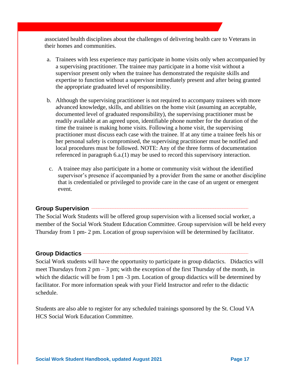associated health disciplines about the challenges of delivering health care to Veterans in their homes and communities.

- a. Trainees with less experience may participate in home visits only when accompanied by a supervising practitioner. The trainee may participate in a home visit without a supervisor present only when the trainee has demonstrated the requisite skills and expertise to function without a supervisor immediately present and after being granted the appropriate graduated level of responsibility.
- b. Although the supervising practitioner is not required to accompany trainees with more advanced knowledge, skills, and abilities on the home visit (assuming an acceptable, documented level of graduated responsibility), the supervising practitioner must be readily available at an agreed upon, identifiable phone number for the duration of the time the trainee is making home visits. Following a home visit, the supervising practitioner must discuss each case with the trainee. If at any time a trainee feels his or her personal safety is compromised, the supervising practitioner must be notified and local procedures must be followed. NOTE: Any of the three forms of documentation referenced in paragraph 6.a.(1) may be used to record this supervisory interaction.
- c. A trainee may also participate in a home or community visit without the identified supervisor's presence if accompanied by a provider from the same or another discipline that is credentialed or privileged to provide care in the case of an urgent or emergent event.

# Group Supervision **\_\_\_\_\_\_\_\_\_\_\_\_\_\_\_\_\_\_\_\_\_\_\_\_\_\_\_\_**

The Social Work Students will be offered group supervision with a licensed social worker, a member of the Social Work Student Education Committee. Group supervision will be held every Thursday from 1 pm- 2 pm. Location of group supervision will be determined by facilitator.

# **Group Didactics \_\_\_\_\_\_\_\_\_\_\_\_\_\_\_\_\_\_\_\_\_\_\_\_\_\_\_\_\_\_\_\_\_\_\_\_\_\_\_\_\_\_\_\_\_\_\_\_\_\_\_\_\_\_\_\_\_\_\_\_\_\_\_\_\_\_\_\_\_\_\_\_\_\_\_\_\_\_\_\_\_\_\_\_\_\_\_\_\_\_\_\_\_\_\_\_**

Social Work students will have the opportunity to participate in group didactics. Didactics will meet Thursdays from 2 pm  $-$  3 pm; with the exception of the first Thursday of the month, in which the didactic will be from 1 pm -3 pm. Location of group didactics will be determined by facilitator. For more information speak with your Field Instructor and refer to the didactic schedule.

Students are also able to register for any scheduled trainings sponsored by the St. Cloud VA HCS Social Work Education Committee.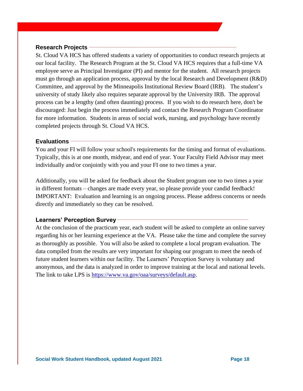## **Research Projects \_\_\_\_\_\_\_\_\_\_\_\_\_\_\_\_\_\_\_\_\_\_\_\_\_\_\_\_\_\_\_\_\_\_\_\_\_\_\_\_\_\_\_\_\_\_\_\_\_\_\_\_\_\_\_\_\_\_\_\_\_\_\_\_\_\_\_\_\_\_\_\_\_\_\_\_\_\_\_\_\_\_\_\_\_\_**

St. Cloud VA HCS has offered students a variety of opportunities to conduct research projects at our local facility. The Research Program at the St. Cloud VA HCS requires that a full-time VA employee serve as Principal Investigator (PI) and mentor for the student. All research projects must go through an application process, approval by the local Research and Development (R&D) Committee, and approval by the Minneapolis Institutional Review Board (IRB). The student's university of study likely also requires separate approval by the University IRB. The approval process can be a lengthy (and often daunting) process. If you wish to do research here, don't be discouraged: Just begin the process immediately and contact the Research Program Coordinator for more information. Students in areas of social work, nursing, and psychology have recently completed projects through St. Cloud VA HCS.

### **Evaluations** –

You and your FI will follow your school's requirements for the timing and format of evaluations. Typically, this is at one month, midyear, and end of year. Your Faculty Field Advisor may meet individually and/or conjointly with you and your FI one to two times a year.

Additionally, you will be asked for feedback about the Student program one to two times a year in different formats – changes are made every year, so please provide your candid feedback! IMPORTANT: Evaluation and learning is an ongoing process. Please address concerns or needs directly and immediately so they can be resolved.

## Learners' Perception Survey —

At the conclusion of the practicum year, each student will be asked to complete an online survey regarding his or her learning experience at the VA. Please take the time and complete the survey as thoroughly as possible. You will also be asked to complete a local program evaluation. The data compiled from the results are very important for shaping our program to meet the needs of future student learners within our facility. The Learners' Perception Survey is voluntary and anonymous, and the data is analyzed in order to improve training at the local and national levels. The link to take LPS is [https://www.va.gov/oaa/surveys/default.asp.](https://www.va.gov/oaa/surveys/default.asp)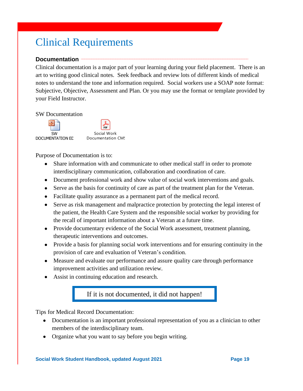# Clinical Requirements

## Documentation

Clinical documentation is a major part of your learning during your field placement. There is an art to writing good clinical notes. Seek feedback and review lots of different kinds of medical notes to understand the tone and information required. Social workers use a SOAP note format: Subjective, Objective, Assessment and Plan. Or you may use the format or template provided by your Field Instructor.

#### SW Documentation



Purpose of Documentation is to:

- Share information with and communicate to other medical staff in order to promote interdisciplinary communication, collaboration and coordination of care.
- Document professional work and show value of social work interventions and goals.
- Serve as the basis for continuity of care as part of the treatment plan for the Veteran.
- Facilitate quality assurance as a permanent part of the medical record.
- Serve as risk management and malpractice protection by protecting the legal interest of the patient, the Health Care System and the responsible social worker by providing for the recall of important information about a Veteran at a future time.
- Provide documentary evidence of the Social Work assessment, treatment planning, therapeutic interventions and outcomes.
- Provide a basis for planning social work interventions and for ensuring continuity in the provision of care and evaluation of Veteran's condition.
- Measure and evaluate our performance and assure quality care through performance improvement activities and utilization review.
- Assist in continuing education and research.

# If it is not documented, it did not happen!

Tips for Medical Record Documentation:

- Documentation is an important professional representation of you as a clinician to other members of the interdisciplinary team.
- Organize what you want to say before you begin writing.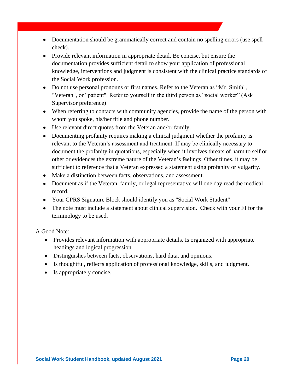- Documentation should be grammatically correct and contain no spelling errors (use spell check).
- Provide relevant information in appropriate detail. Be concise, but ensure the documentation provides sufficient detail to show your application of professional knowledge, interventions and judgment is consistent with the clinical practice standards of the Social Work profession.
- Do not use personal pronouns or first names. Refer to the Veteran as "Mr. Smith", "Veteran", or "patient". Refer to yourself in the third person as "social worker" (Ask Supervisor preference)
- When referring to contacts with community agencies, provide the name of the person with whom you spoke, his/her title and phone number.
- Use relevant direct quotes from the Veteran and/or family.
- Documenting profanity requires making a clinical judgment whether the profanity is relevant to the Veteran's assessment and treatment. If may be clinically necessary to document the profanity in quotations, especially when it involves threats of harm to self or other or evidences the extreme nature of the Veteran's feelings. Other times, it may be sufficient to reference that a Veteran expressed a statement using profanity or vulgarity.
- Make a distinction between facts, observations, and assessment.
- Document as if the Veteran, family, or legal representative will one day read the medical record.
- Your CPRS Signature Block should identify you as "Social Work Student"
- The note must include a statement about clinical supervision. Check with your FI for the terminology to be used.

A Good Note:

- Provides relevant information with appropriate details. Is organized with appropriate headings and logical progression.
- Distinguishes between facts, observations, hard data, and opinions.
- Is thoughtful, reflects application of professional knowledge, skills, and judgment.
- Is appropriately concise.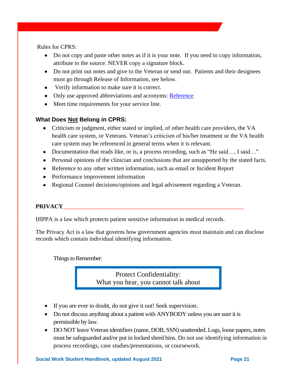Rules for CPRS:

- Do not copy and paste other notes as if it is your note. If you need to copy information, attribute to the source. NEVER copy a signature block.
- Do not print out notes and give to the Veteran or send out. Patients and their designees must go through Release of Information, see below.
- Verify information to make sure it is correct.
- Only use approved abbreviations and acronyms: [Reference](http://vaww1.va.gov/acronyms/)
- Meet time requirements for your service line.

# **What Does Not Belong in CPRS:**

- Criticism or judgment, either stated or implied, of other health care providers, the VA health care system, or Veterans. Veteran's criticism of his/her treatment or the VA health care system may be referenced in general terms when it is relevant.
- Documentation that reads like, or is, a process recording, such as "He said..., I said..."
- Personal opinions of the clinician and conclusions that are unsupported by the stated facts.
- Reference to any other written information, such as email or Incident Report
- Performance improvement information
- Regional Counsel decisions/opinions and legal advisement regarding a Veteran.

## PRIVACY

HIPPA is a law which protects patient sensitive information in medical records.

The Privacy Act is a law that governs how government agencies must maintain and can disclose records which contain individual identifying information.

Things to Remember:

Protect Confidentiality: What you hear, you cannot talk about

- If you are ever in doubt, do not give it out! Seek supervision.
- Do not discuss anything about a patient with ANYBODY unless you are sure it is permissible by law.
- DO NOT leave Veteran identifiers (name, DOB, SSN) unattended. Logs, loose papers, notes must be safeguarded and/or put in locked shred bins. Do not use identifying information in process recordings, case studies/presentations, or coursework.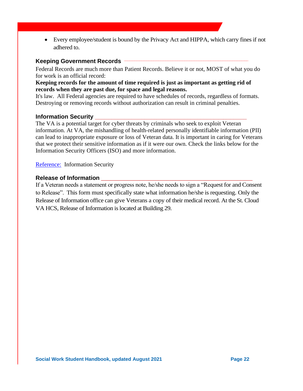• Every employee/student is bound by the Privacy Act and HIPPA, which carry fines if not adhered to.

## Keeping Government Records  $-$

Federal Records are much more than Patient Records. Believe it or not, MOST of what you do for work is an official record:

## **Keeping records for the amount of time required is just as important as getting rid of records when they are past due, for space and legal reasons.**

It's law. All Federal agencies are required to have schedules of records, regardless of formats. Destroying or removing records without authorization can result in criminal penalties.

## **Information Security \_\_\_\_\_\_\_\_\_\_\_\_\_\_\_\_\_\_\_\_\_\_\_\_\_\_\_\_\_\_\_\_\_\_\_\_\_\_\_\_\_\_\_\_\_\_**

The VA is a potential target for cyber threats by criminals who seek to exploit Veteran information. At VA, the mishandling of health-related personally identifiable information (PII) can lead to inappropriate exposure or loss of Veteran data. It is important in caring for Veterans that we protect their sensitive information as if it were our own. Check the links below for the Information Security Officers (ISO) and more information.

[Reference:](https://dvagov.sharepoint.com/sites/SECVHASTCr/InformationSecurity/default.aspx) Information Security

## **Release of Information** \_\_\_\_\_\_\_\_\_\_\_\_\_\_\_\_\_\_\_\_\_\_\_\_\_\_\_\_\_\_\_\_\_\_\_\_\_\_\_\_\_\_\_\_\_\_\_\_\_\_\_

If a Veteran needs a statement or progress note, he/she needs to sign a "Request for and Consent to Release". This form must specifically state what information he/she is requesting. Only the Release of Information office can give Veterans a copy of their medical record. At the St. Cloud VA HCS, Release of Information is located at Building 29.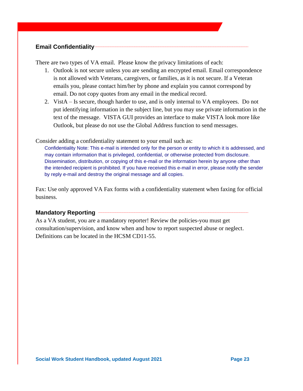# **Email Confidentiality-**

There are two types of VA email. Please know the privacy limitations of each:

- 1. Outlook is not secure unless you are sending an encrypted email. Email correspondence is not allowed with Veterans, caregivers, or families, as it is not secure. If a Veteran emails you, please contact him/her by phone and explain you cannot correspond by email. Do not copy quotes from any email in the medical record.
- 2. VistA Is secure, though harder to use, and is only internal to VA employees. Do not put identifying information in the subject line, but you may use private information in the text of the message. VISTA GUI provides an interface to make VISTA look more like Outlook, but please do not use the Global Address function to send messages.

Consider adding a confidentiality statement to your email such as:

Confidentiality Note: This e-mail is intended only for the person or entity to which it is addressed, and may contain information that is privileged, confidential, or otherwise protected from disclosure. Dissemination, distribution, or copying of this e-mail or the information herein by anyone other than the intended recipient is prohibited. If you have received this e-mail in error, please notify the sender by reply e-mail and destroy the original message and all copies.

Fax: Use only approved VA Fax forms with a confidentiality statement when faxing for official business.

# **Mandatory Reporting \_\_\_\_\_\_\_\_\_\_\_\_\_\_\_\_\_\_\_\_\_\_\_\_\_\_\_\_\_\_\_\_\_\_\_\_\_\_\_\_\_\_\_\_\_\_\_\_\_\_\_\_\_\_\_\_\_\_\_\_\_\_\_\_\_\_\_\_\_\_\_\_\_\_\_\_\_\_\_\_\_\_\_\_\_\_\_**

As a VA student, you are a mandatory reporter! Review the policies-you must get consultation/supervision, and know when and how to report suspected abuse or neglect. Definitions can be located in the HCSM CD11-55.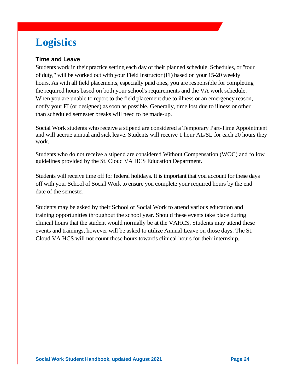# **Logistics**

# **Time and Leave**

Students work in their practice setting each day of their planned schedule. Schedules, or "tour of duty," will be worked out with your Field Instructor (FI) based on your 15-20 weekly hours. As with all field placements, especially paid ones, you are responsible for completing the required hours based on both your school's requirements and the VA work schedule. When you are unable to report to the field placement due to illness or an emergency reason, notify your FI (or designee) as soon as possible. Generally, time lost due to illness or other than scheduled semester breaks will need to be made-up.

Social Work students who receive a stipend are considered a Temporary Part-Time Appointment and will accrue annual and sick leave. Students will receive 1 hour AL/SL for each 20 hours they work.

Students who do not receive a stipend are considered Without Compensation (WOC) and follow guidelines provided by the St. Cloud VA HCS Education Department.

Students will receive time off for federal holidays. It is important that you account for these days off with your School of Social Work to ensure you complete your required hours by the end date of the semester.

Students may be asked by their School of Social Work to attend various education and training opportunities throughout the school year. Should these events take place during clinical hours that the student would normally be at the VAHCS, Students may attend these events and trainings, however will be asked to utilize Annual Leave on those days. The St. Cloud VA HCS will not count these hours towards clinical hours for their internship.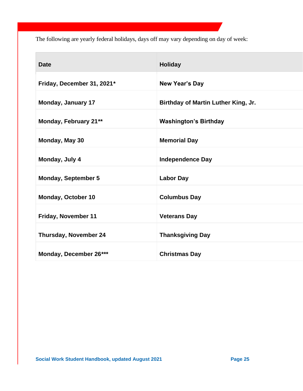The following are yearly federal holidays, days off may vary depending on day of week:

| <b>Date</b>                  | <b>Holiday</b>                      |
|------------------------------|-------------------------------------|
| Friday, December 31, 2021*   | <b>New Year's Day</b>               |
| <b>Monday, January 17</b>    | Birthday of Martin Luther King, Jr. |
| Monday, February 21**        | <b>Washington's Birthday</b>        |
| Monday, May 30               | <b>Memorial Day</b>                 |
| Monday, July 4               | <b>Independence Day</b>             |
| <b>Monday, September 5</b>   | <b>Labor Day</b>                    |
| Monday, October 10           | <b>Columbus Day</b>                 |
| Friday, November 11          | <b>Veterans Day</b>                 |
| <b>Thursday, November 24</b> | <b>Thanksgiving Day</b>             |
| Monday, December 26***       | <b>Christmas Day</b>                |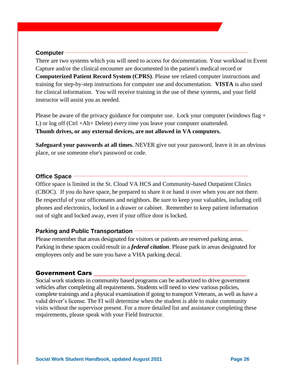### Computer –

There are two systems which you will need to access for documentation. Your workload in Event Capture and/or the clinical encounter are documented in the patient's medical record or **Computerized Patient Record System (CPRS)**. Please see related computer instructions and training for step-by-step instructions for computer use and documentation. **VISTA** is also used for clinical information. You will receive training in the use of these systems, and your field instructor will assist you as needed.

Please be aware of the privacy guidance for computer use. Lock your computer (windows flag + L) or log off (Ctrl +Alt+ Delete) *every time* you leave your computer unattended. **Thumb drives, or any external devices, are not allowed in VA computers.**

**Safeguard your passwords at all times.** NEVER give out your password, leave it in an obvious place, or use someone else's password or code.

#### **Office Space –**

Office space is limited in the St. Cloud VA HCS and Community-based Outpatient Clinics (CBOC). If you do have space, be prepared to share it or hand it over when you are not there. Be respectful of your officemates and neighbors. Be sure to keep your valuables, including cell phones and electronics, locked in a drawer or cabinet. Remember to keep patient information out of sight and locked away, even if your office door is locked.

## **Parking and Public Transportation —**

Please remember that areas designated for visitors or patients are reserved parking areas. Parking in these spaces could result in a *federal citation*. Please park in areas designated for employees only and be sure you have a VHA parking decal.

#### Government Cars

Social work students in community based programs can be authorized to drive government vehicles after completing all requirements. Students will need to view various policies, complete trainings and a physical examination if going to transport Veterans, as well as have a valid driver's license. The FI will determine when the student is able to make community visits without the supervisor present. For a more detailed list and assistance completing these requirements, please speak with your Field Instructor.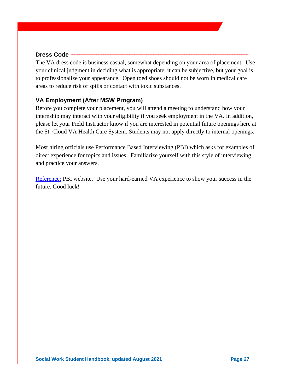## Dress Code -

The VA dress code is business casual, somewhat depending on your area of placement. Use your clinical judgment in deciding what is appropriate, it can be subjective, but your goal is to professionalize your appearance. Open toed shoes should not be worn in medical care areas to reduce risk of spills or contact with toxic substances.

# **VA Employment (After MSW Program) \_\_\_\_\_\_\_\_\_\_\_\_\_\_\_\_\_\_\_\_\_\_\_\_\_\_\_\_\_\_\_\_\_\_\_\_\_\_\_\_\_\_\_\_\_\_\_\_ \_\_\_\_\_\_\_\_\_\_\_\_**

Before you complete your placement, you will attend a meeting to understand how your internship may interact with your eligibility if you seek employment in the VA. In addition, please let your Field Instructor know if you are interested in potential future openings here at the St. Cloud VA Health Care System. Students may not apply directly to internal openings.

Most hiring officials use Performance Based Interviewing (PBI) which asks for examples of direct experience for topics and issues. Familiarize yourself with this style of interviewing and practice your answers.

[Reference:](http://www.va.gov/PBI/index.asp) PBI website. Use your hard-earned VA experience to show your success in the future. Good luck!